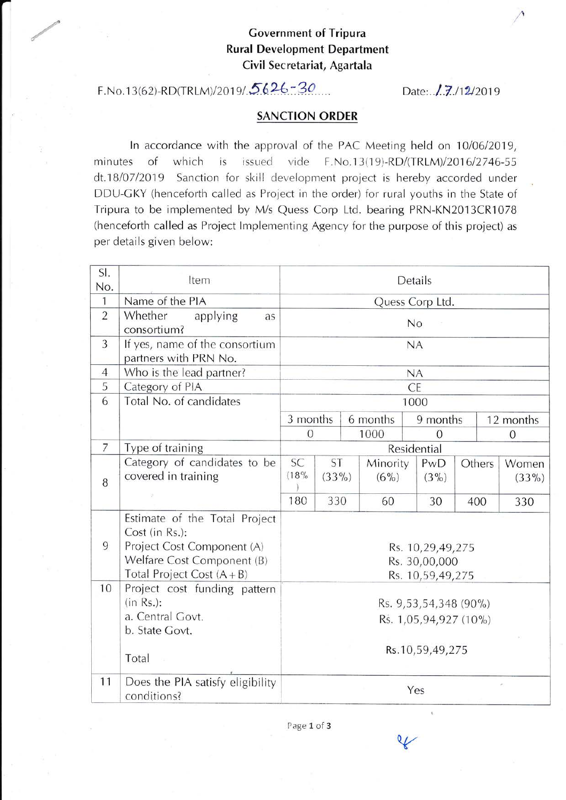## Government of Tripura Rural Development Department Civil Secretariat, Agartala

## F.No. 1 3(52)-RD(rRLM)/20 1 st.5 62L. 20 Date: ./..v.ttzl2o1s

## SANCTION ORDER

In accordance with the approval of the PAC Meeting held on 10/06/2019, minutes of which is issued vide F.No.13(19)-RD/(TRLM)/2016/2746-55 dt.18/07/2019 Sanction for skill development project is hereby accorded under DDU-GKY (henceforth called as Project in the order) for rural youths in the State of Tripura to be implemented by M/s Quess Corp Ltd. bearing PRN-KN2013CR1078 (henceforth called as Project Implementing Agency for the purpose of this project) as per details given below:

| SI.<br>No.     | Item                                                                                                                                        | Details                                               |     |          |                     |                |          |                |                   |
|----------------|---------------------------------------------------------------------------------------------------------------------------------------------|-------------------------------------------------------|-----|----------|---------------------|----------------|----------|----------------|-------------------|
| $\mathbf{1}$   | Name of the PIA                                                                                                                             | Quess Corp Ltd.                                       |     |          |                     |                |          |                |                   |
| $\overline{2}$ | Whether<br>applying<br>as<br>consortium?                                                                                                    | No                                                    |     |          |                     |                |          |                |                   |
| 3              | If yes, name of the consortium<br>partners with PRN No.                                                                                     | NA                                                    |     |          |                     |                |          |                |                   |
| $\overline{4}$ | Who is the lead partner?                                                                                                                    | NA                                                    |     |          |                     |                |          |                |                   |
| 5              | Category of PIA                                                                                                                             | <b>CE</b>                                             |     |          |                     |                |          |                |                   |
| 6              | Total No. of candidates                                                                                                                     | 1000                                                  |     |          |                     |                |          |                |                   |
|                |                                                                                                                                             | 3 months                                              |     | 6 months |                     |                | 9 months |                | 12 months         |
|                |                                                                                                                                             | $\overline{0}$                                        |     | 1000     |                     | $\Omega$       |          | $\overline{0}$ |                   |
| $\overline{7}$ | Type of training                                                                                                                            | Residential                                           |     |          |                     |                |          |                |                   |
| 8              | Category of candidates to be<br>covered in training                                                                                         | <b>SC</b><br>ST<br>(18%<br>$(33\%)$                   |     |          | Minority<br>$(6\%)$ | PwD<br>$(3\%)$ |          | Others         | Women<br>$(33\%)$ |
|                |                                                                                                                                             | 180                                                   | 330 |          | 60                  | 30             |          | 400            | 330               |
| 9              | Estimate of the Total Project<br>Cost (in Rs.):<br>Project Cost Component (A)<br>Welfare Cost Component (B)<br>Total Project Cost $(A + B)$ | Rs. 10,29,49,275<br>Rs. 30,00,000<br>Rs. 10,59,49,275 |     |          |                     |                |          |                |                   |
| 10             | Project cost funding pattern<br>$(in Rs.)$ :<br>a. Central Govt.<br>b. State Govt.                                                          | Rs. 9,53,54,348 (90%)<br>Rs. 1,05,94,927 (10%)        |     |          |                     |                |          |                |                   |
|                | Total                                                                                                                                       | Rs.10,59,49,275                                       |     |          |                     |                |          |                |                   |
| 11             | Does the PIA satisfy eligibility<br>conditions?                                                                                             | Yes                                                   |     |          |                     |                |          |                |                   |

Page 1 of 3

V

I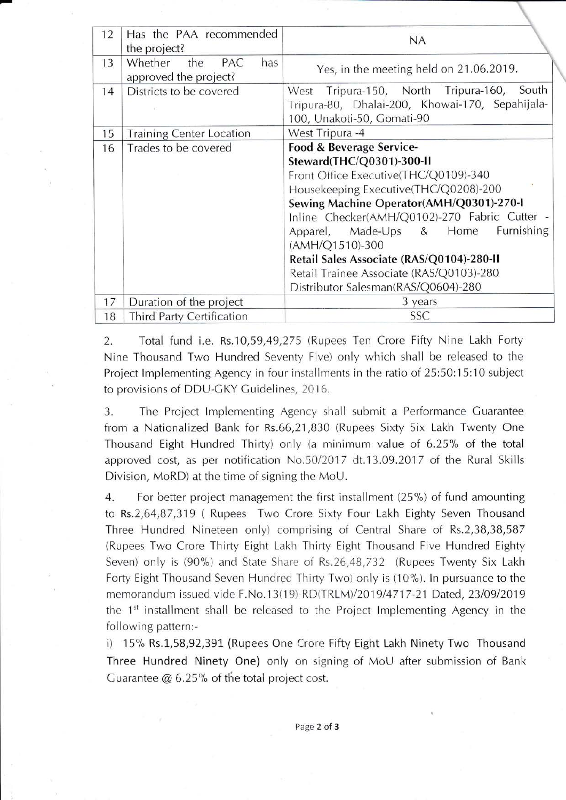| 12 | Has the PAA recommended<br>the project?               | <b>NA</b>                                                                                                                                                                                                                                                                                                                                                                                                                         |
|----|-------------------------------------------------------|-----------------------------------------------------------------------------------------------------------------------------------------------------------------------------------------------------------------------------------------------------------------------------------------------------------------------------------------------------------------------------------------------------------------------------------|
| 13 | Whether<br>the<br>PAC<br>has<br>approved the project? | Yes, in the meeting held on 21.06.2019.                                                                                                                                                                                                                                                                                                                                                                                           |
| 14 | Districts to be covered                               | West Tripura-150, North Tripura-160, South<br>Tripura-80, Dhalai-200, Khowai-170, Sepahijala-<br>100, Unakoti-50, Gomati-90                                                                                                                                                                                                                                                                                                       |
| 15 | <b>Training Center Location</b>                       | West Tripura -4                                                                                                                                                                                                                                                                                                                                                                                                                   |
| 16 | Trades to be covered                                  | Food & Beverage Service-<br>Steward(THC/Q0301)-300-II<br>Front Office Executive(THC/Q0109)-340<br>Housekeeping Executive(THC/Q0208)-200<br>Sewing Machine Operator(AMH/Q0301)-270-I<br>Inline Checker(AMH/Q0102)-270 Fabric Cutter -<br>Furnishing<br>Apparel, Made-Ups & Home<br>(AMH/Q1510)-300<br>Retail Sales Associate (RAS/Q0104)-280-II<br>Retail Trainee Associate (RAS/Q0103)-280<br>Distributor Salesman(RAS/Q0604)-280 |
| 17 | Duration of the project                               | 3 years                                                                                                                                                                                                                                                                                                                                                                                                                           |
| 18 | <b>Third Party Certification</b>                      | <b>SSC</b>                                                                                                                                                                                                                                                                                                                                                                                                                        |

2. Total fund i.e. Rs.10,59,49,275 (Rupees Ten Crore Fifty Nine Lakh Forty Nine Thousand Two Hundred Seventy Five) only which shall be released to the Project Implementing Agency in four installments in the ratio of 25:50:15:10 subject to provisions of DDU-GKY Guidelines, 2016.

3. The Project Implementing Agency shall submit a Performance Guarantee from a Nationalized Bank for Rs.66,21 ,830 (Rupees Sixty Six Lakh Twenty One Thousand Eight Hundred Thirty) only (a minimum value of 6.25% of the total approved cost, as per notification No.50/2017 dt.13.09.2017 of the Rural Skills Division, MoRD) at the time of signing the MoU.

4. For better project management the first installment (25%) of fund amounting to Rs.2,64,87,319 ( Rupees Two Crore Sixty Four Lakh Eighty Seven Thousand Three Hundred Nineteen only) comprising of Central Share of Rs.2,38,38,587 (Rupees Two Crore Thirty Eight Lakh Thirty Eight Thousand Five Hundred Eighty Seven) only is (90%) and State Share of Rs.26,48,732 (Rupees Twenty Six Lakh Forty Eight Thousand Seven Hundred Thirty Two) only is (10%). In pursuance to the memorandum issued vide F.No.13(19)-RD(TRLM)/2019/4717-21 Dated, 23/09/2019 the  $1<sup>st</sup>$  installment shall be released to the Project Implementing Agency in the following pattern:-

i) 15% Rs.1,58,92,391 (Rupees One Crore Fifty Eight Lakh Ninety Two Thousand Three Hundred Ninety One) only on signing of MoU after submission of Bank Guarantee  $@$  6.25% of the total project cost.